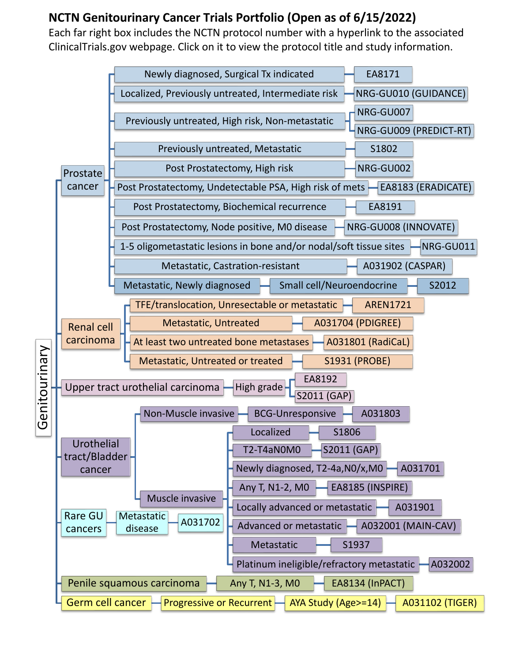## **NCTN Genitourinary Cancer Trials Portfolio (Open as of 6/15/2022)**

Each far right box includes the NCTN protocol number with a hyperlink to the associated ClinicalTrials.gov webpage. Click on it to view the protocol title and study information.

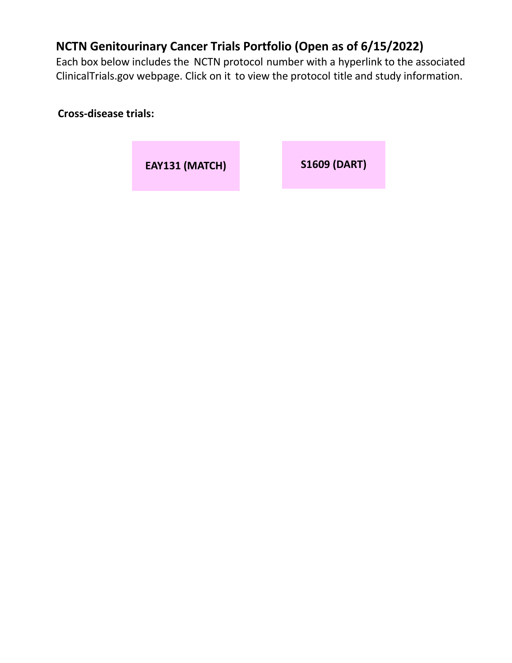## **NCTN Genitourinary Cancer Trials Portfolio (Open as of 6/15/2022)**

Each box below includes the NCTN protocol number with a hyperlink to the associated ClinicalTrials.gov webpage. Click on it to view the protocol title and study information.

**Cross-disease trials:**